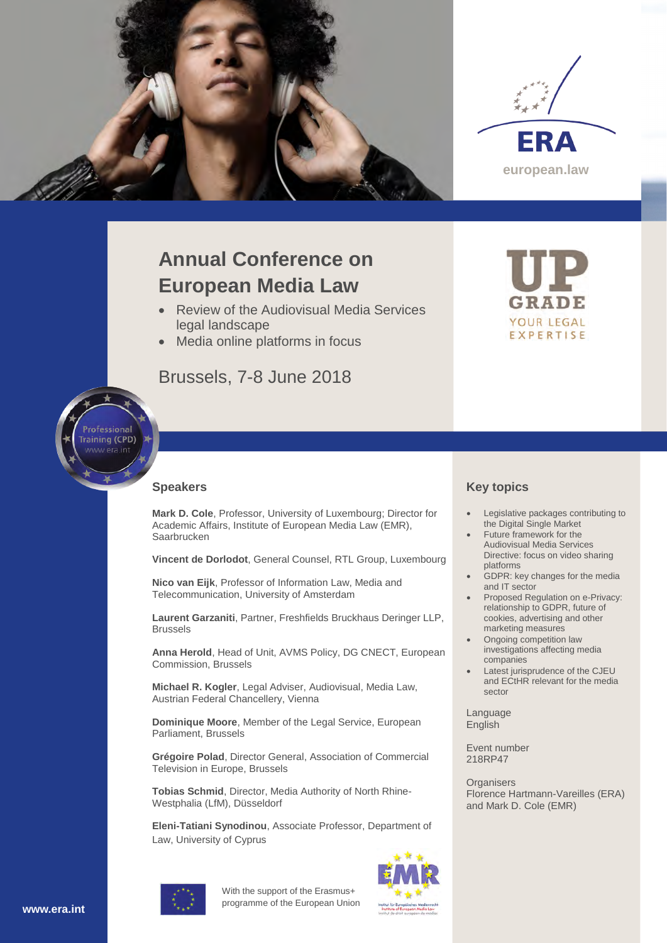



# **Annual Conference on European Media Law**

- Review of the Audiovisual Media Services legal landscape
- Media online platforms in focus

## Brussels, 7-8 June 2018



#### **Speakers**

**Mark D. Cole**, Professor, University of Luxembourg; Director for Academic Affairs, Institute of European Media Law (EMR), Saarbrucken

**Vincent de Dorlodot**, General Counsel, RTL Group, Luxembourg

**Nico van Eijk**, Professor of Information Law, Media and Telecommunication, University of Amsterdam

**Laurent Garzaniti**, Partner, Freshfields Bruckhaus Deringer LLP, Brussels

**Anna Herold**, Head of Unit, AVMS Policy, DG CNECT, European Commission, Brussels

**Michael R. Kogler**, Legal Adviser, Audiovisual, Media Law, Austrian Federal Chancellery, Vienna

**Dominique Moore**, Member of the Legal Service, European Parliament, Brussels

**Grégoire Polad**, Director General, Association of Commercial Television in Europe, Brussels

**Tobias Schmid**, Director, Media Authority of North Rhine-Westphalia (LfM), Düsseldorf

**Eleni-Tatiani Synodinou**, Associate Professor, Department of Law, University of Cyprus

## **Key topics**

 Legislative packages contributing to the Digital Single Market

YOUR LEGAL EXPERTISE

- Future framework for the Audiovisual Media Services Directive: focus on video sharing platforms
- GDPR: key changes for the media and IT sector
- Proposed Regulation on e-Privacy: relationship to GDPR, future of cookies, advertising and other marketing measures
- Ongoing competition law investigations affecting media companies
- Latest jurisprudence of the CJEU and ECtHR relevant for the media sector

Language English

Event number 218RP47

**Organisers** Florence Hartmann-Vareilles (ERA) and Mark D. Cole (EMR)



With the support of the Erasmus+ programme of the European Union

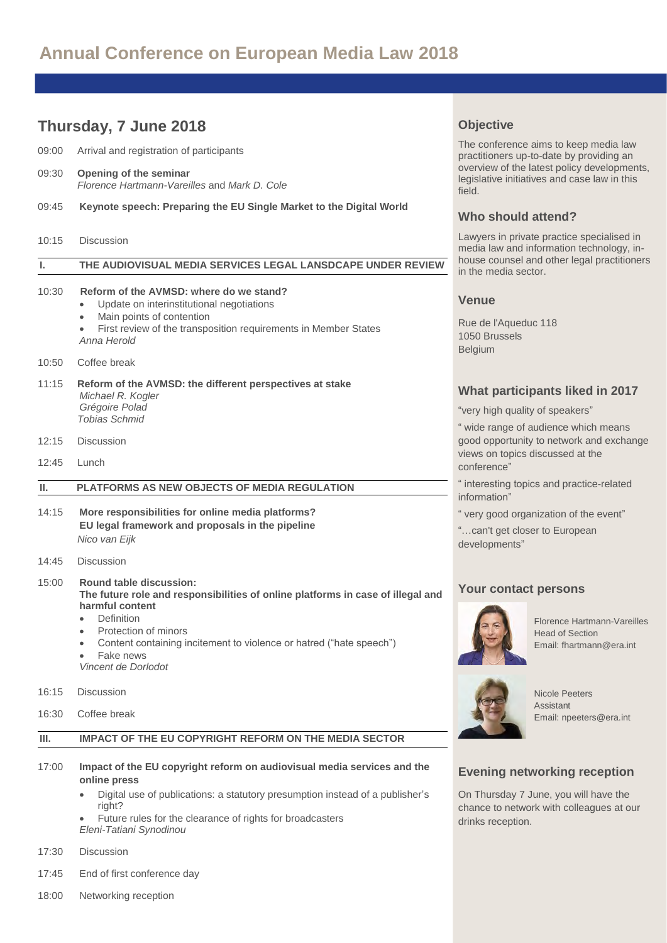# **Annual Conference on European Media Law 2018**

## **Thursday, 7 June 2018** 09:00 Arrival and registration of participants 09:30 **Opening of the seminar** *Florence Hartmann-Vareilles* and *Mark D. Cole* 09:45 **Keynote speech: Preparing the EU Single Market to the Digital World** 10:15 Discussion **I. THE AUDIOVISUAL MEDIA SERVICES LEGAL LANSDCAPE UNDER REVIEW**  10:30 **Reform of the AVMSD: where do we stand?** Update on interinstitutional negotiations Main points of contention First review of the transposition requirements in Member States *Anna Herold* 10:50 Coffee break 11:15 **Reform of the AVMSD: the different perspectives at stake** *Michael R. Kogler Grégoire Polad Tobias Schmid* 12:15 Discussion  $12.45$  Lunch **II. PLATFORMS AS NEW OBJECTS OF MEDIA REGULATION**  14:15 **More responsibilities for online media platforms? EU legal framework and proposals in the pipeline** *Nico van Eijk* 14:45 Discussion 15:00 **Round table discussion: The future role and responsibilities of online platforms in case of illegal and harmful content**  Definition Protection of minors Content containing incitement to violence or hatred ("hate speech") Fake news *Vincent de Dorlodot*  16:15 Discussion 16:30 Coffee break **III. IMPACT OF THE EU COPYRIGHT REFORM ON THE MEDIA SECTOR**  17:00 **Impact of the EU copyright reform on audiovisual media services and the online press**  Digital use of publications: a statutory presumption instead of a publisher's right? Future rules for the clearance of rights for broadcasters *Eleni-Tatiani Synodinou*

- 17:30 Discussion
- 17:45 End of first conference day
- 18:00 Networking reception

## **Objective**

The conference aims to keep media law practitioners up-to-date by providing an overview of the latest policy developments, legislative initiatives and case law in this field.

### **Who should attend?**

Lawyers in private practice specialised in media law and information technology, inhouse counsel and other legal practitioners in the media sector.

#### **Venue**

Rue de l'Aqueduc 118 1050 Brussels Belgium

### **What participants liked in 2017**

"very high quality of speakers"

" wide range of audience which means good opportunity to network and exchange views on topics discussed at the conference"

" interesting topics and practice-related information"

" very good organization of the event"

"…can't get closer to European developments"

## **Your contact persons**



Florence Hartmann-Vareilles Head of Section Email[: fhartmann@era.int](mailto:fhartmann@era.int)



Nicole Peeters Assistant Email: npeeter[s@era.int](mailto:jreitz@era.int)

## **Evening networking reception**

On Thursday 7 June, you will have the chance to network with colleagues at our drinks reception.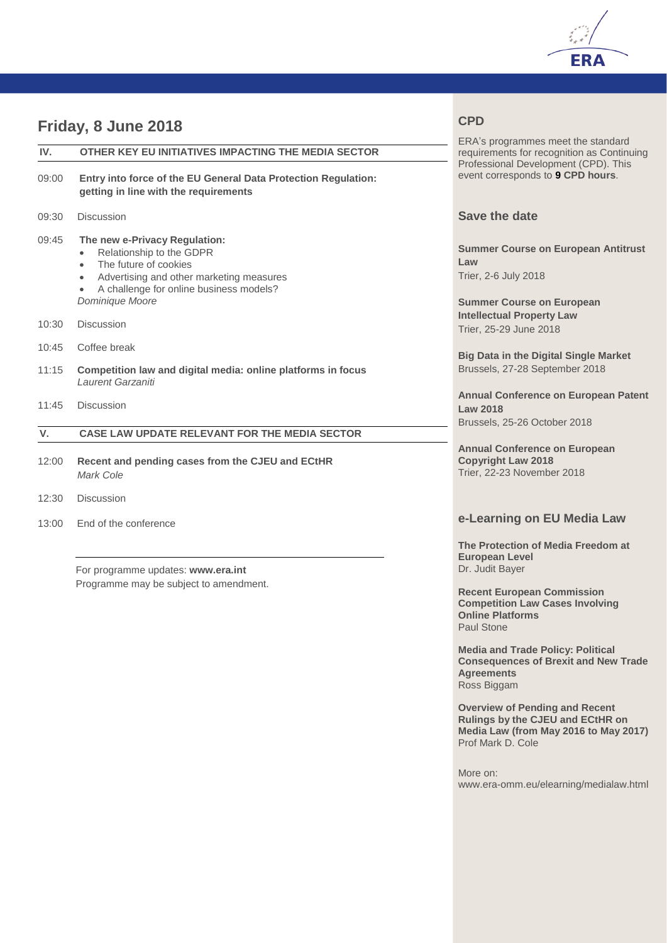

## **Friday, 8 June 2018**

| IV.         | OTHER KEY EU INITIATIVES IMPACTING THE MEDIA SECTOR                                                                                                                                                            |  |  |  |  |  |  |
|-------------|----------------------------------------------------------------------------------------------------------------------------------------------------------------------------------------------------------------|--|--|--|--|--|--|
| 09:00       | Entry into force of the EU General Data Protection Regulation:<br>getting in line with the requirements                                                                                                        |  |  |  |  |  |  |
| 09:30       | <b>Discussion</b>                                                                                                                                                                                              |  |  |  |  |  |  |
| 09:45       | The new e-Privacy Regulation:<br>Relationship to the GDPR<br>The future of cookies<br>$\bullet$<br>Advertising and other marketing measures<br>٠<br>A challenge for online business models?<br>Dominique Moore |  |  |  |  |  |  |
| 10:30       | <b>Discussion</b>                                                                                                                                                                                              |  |  |  |  |  |  |
| 10:45       | Coffee break                                                                                                                                                                                                   |  |  |  |  |  |  |
| 11:15       | Competition law and digital media: online platforms in focus<br>I aurent Garzaniti                                                                                                                             |  |  |  |  |  |  |
| 11:45       | <b>Discussion</b>                                                                                                                                                                                              |  |  |  |  |  |  |
| $V_{\cdot}$ | <b>CASE LAW UPDATE RELEVANT FOR THE MEDIA SECTOR</b>                                                                                                                                                           |  |  |  |  |  |  |
| 12:00       | Recent and pending cases from the CJEU and ECtHR<br>Mark Cole                                                                                                                                                  |  |  |  |  |  |  |
| 12:30       | Discussion                                                                                                                                                                                                     |  |  |  |  |  |  |

13:00 End of the conference

For programme updates: **[www.era.int](http://www.era.int/)** Programme may be subject to amendment.

## **CPD**

ERA's programmes meet the standard requirements for recognition as Continuing Professional Development (CPD). This event corresponds to **9 CPD hours**.

## **Save the date**

**Summer Course on European Antitrust Law** Trier, 2-6 July 2018

**Summer Course on European Intellectual Property Law**  Trier, 25-29 June 2018

**Big Data in the Digital Single Market**  Brussels, 27-28 September 2018

**Annual Conference on European Patent Law 2018** Brussels, 25-26 October 2018

**Annual Conference on European Copyright Law 2018** Trier, 22-23 November 2018

## **e-Learning on EU Media Law**

**The Protection of Media Freedom at European Level** Dr. Judit Bayer

**Recent European Commission Competition Law Cases Involving Online Platforms** Paul Stone

**Media and Trade Policy: Political Consequences of Brexit and New Trade Agreements** Ross Biggam

**Overview of Pending and Recent Rulings by the CJEU and ECtHR on Media Law (from May 2016 to May 2017)** Prof Mark D. Cole

More on: www.era-omm.eu/elearning/medialaw.html